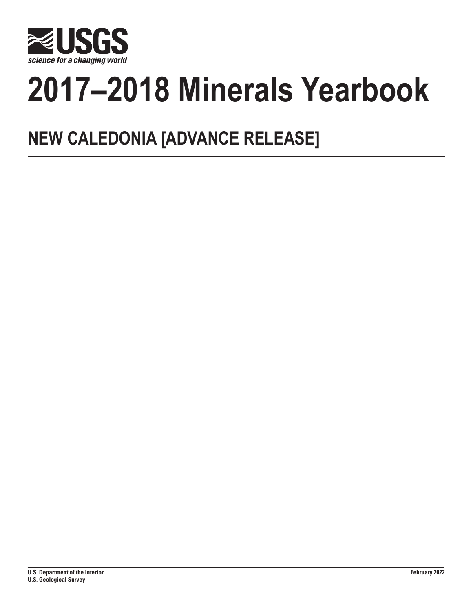

# **2017–2018 Minerals Yearbook**

## **NEW CALEDONIA [ADVANCE RELEASE]**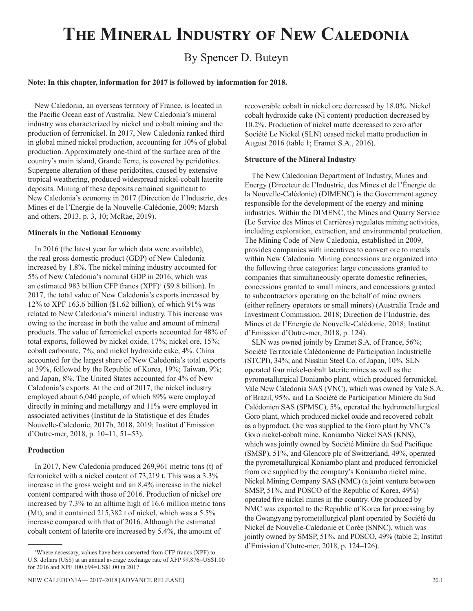## **The Mineral Industry of New Caledonia**

### By Spencer D. Buteyn

#### **Note: In this chapter, information for 2017 is followed by information for 2018.**

New Caledonia, an overseas territory of France, is located in the Pacific Ocean east of Australia. New Caledonia's mineral industry was characterized by nickel and cobalt mining and the production of ferronickel. In 2017, New Caledonia ranked third in global mined nickel production, accounting for 10% of global production. Approximately one-third of the surface area of the country's main island, Grande Terre, is covered by peridotites. Supergene alteration of these peridotites, caused by extensive tropical weathering, produced widespread nickel-cobalt laterite deposits. Mining of these deposits remained significant to New Caledonia's economy in 2017 (Direction de l'Industrie, des Mines et de l'Energie de la Nouvelle-Calédonie, 2009; Marsh and others, 2013, p. 3, 10; McRae, 2019).

#### **Minerals in the National Economy**

In 2016 (the latest year for which data were available), the real gross domestic product (GDP) of New Caledonia increased by 1.8%. The nickel mining industry accounted for 5% of New Caledonia's nominal GDP in 2016, which was an estimated 983 billion CFP francs (XPF)<sup>1</sup> (\$9.8 billion). In 2017, the total value of New Caledonia's exports increased by 12% to XPF 163.6 billion (\$1.62 billion), of which 91% was related to New Caledonia's mineral industry. This increase was owing to the increase in both the value and amount of mineral products. The value of ferronickel exports accounted for 48% of total exports, followed by nickel oxide, 17%; nickel ore, 15%; cobalt carbonate, 7%; and nickel hydroxide cake, 4%. China accounted for the largest share of New Caledonia's total exports at 39%, followed by the Republic of Korea, 19%; Taiwan, 9%; and Japan, 8%. The United States accounted for 4% of New Caledonia's exports. At the end of 2017, the nickel industry employed about 6,040 people, of which 89% were employed directly in mining and metallurgy and 11% were employed in associated activities (Institut de la Statistique et des Études Nouvelle-Caledonie, 2017b, 2018, 2019; Institut d'Emission d'Outre-mer, 2018, p. 10–11, 51–53).

#### **Production**

In 2017, New Caledonia produced 269,961 metric tons (t) of ferronickel with a nickel content of 73,219 t. This was a 3.3% increase in the gross weight and an 8.4% increase in the nickel content compared with those of 2016. Production of nickel ore increased by 7.3% to an alltime high of 16.6 million metric tons (Mt), and it contained 215,382 t of nickel, which was a 5.5% increase compared with that of 2016. Although the estimated cobalt content of laterite ore increased by 5.4%, the amount of

recoverable cobalt in nickel ore decreased by 18.0%. Nickel cobalt hydroxide cake (Ni content) production decreased by 10.2%. Production of nickel matte decreased to zero after Société Le Nickel (SLN) ceased nickel matte production in August 2016 (table 1; Eramet S.A., 2016).

#### **Structure of the Mineral Industry**

The New Caledonian Department of Industry, Mines and Energy (Directeur de l'Industrie, des Mines et de l'Énergie de la Nouvelle-Calédonie) (DIMENC) is the Government agency responsible for the development of the energy and mining industries. Within the DIMENC, the Mines and Quarry Service (Le Service des Mines et Carrières) regulates mining activities, including exploration, extraction, and environmental protection. The Mining Code of New Caledonia, established in 2009, provides companies with incentives to convert ore to metals within New Caledonia. Mining concessions are organized into the following three categories: large concessions granted to companies that simultaneously operate domestic refineries, concessions granted to small miners, and concessions granted to subcontractors operating on the behalf of mine owners (either refinery operators or small miners) (Australia Trade and Investment Commission, 2018; Direction de l'Industrie, des Mines et de l'Energie de Nouvelle-Calédonie, 2018; Institut d'Emission d'Outre-mer, 2018, p. 124).

SLN was owned jointly by Eramet S.A. of France, 56%; Société Territoriale Calédonienne de Participation Industrielle (STCPI), 34%; and Nisshin Steel Co. of Japan, 10%. SLN operated four nickel-cobalt laterite mines as well as the pyrometallurgical Doniambo plant, which produced ferronickel. Vale New Caledonia SAS (VNC), which was owned by Vale S.A. of Brazil, 95%, and La Société de Participation Minière du Sud Calédonien SAS (SPMSC), 5%, operated the hydrometallurgical Goro plant, which produced nickel oxide and recovered cobalt as a byproduct. Ore was supplied to the Goro plant by VNC's Goro nickel-cobalt mine. Koniambo Nickel SAS (KNS), which was jointly owned by Société Minière du Sud Pacifique (SMSP), 51%, and Glencore plc of Switzerland, 49%, operated the pyrometallurgical Koniambo plant and produced ferronickel from ore supplied by the company's Koniambo nickel mine. Nickel Mining Company SAS (NMC) (a joint venture between SMSP, 51%, and POSCO of the Republic of Korea, 49%) operated five nickel mines in the country. Ore produced by NMC was exported to the Republic of Korea for processing by the Gwangyang pyrometallurgical plant operated by Société du Nickel de Nouvelle-Calédonie et Corée (SNNC), which was jointly owned by SMSP, 51%, and POSCO, 49% (table 2; Institut d'Emission d'Outre-mer, 2018, p. 124–126).

<sup>1</sup> Where necessary, values have been converted from CFP francs (XPF) to U.S. dollars (US\$) at an annual average exchange rate of XFP 99.876=US\$1.00 for 2016 and XPF 100.694=US\$1.00 in 2017.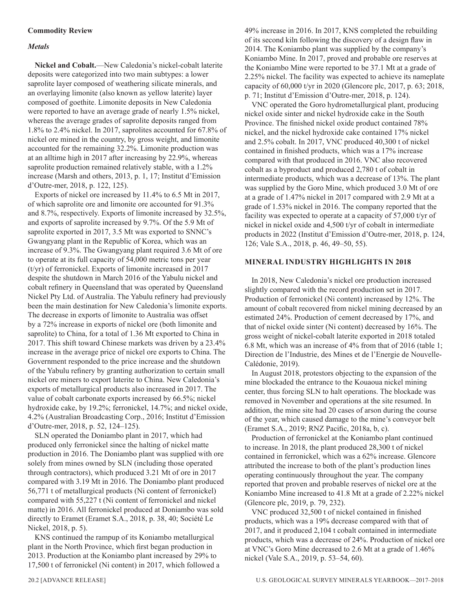#### **Commodity Review**

#### *Metals*

**Nickel and Cobalt.**—New Caledonia's nickel-cobalt laterite deposits were categorized into two main subtypes: a lower saprolite layer composed of weathering silicate minerals, and an overlaying limonite (also known as yellow laterite) layer composed of goethite. Limonite deposits in New Caledonia were reported to have an average grade of nearly 1.5% nickel, whereas the average grades of saprolite deposits ranged from 1.8% to 2.4% nickel. In 2017, saprolites accounted for 67.8% of nickel ore mined in the country, by gross weight, and limonite accounted for the remaining 32.2%. Limonite production was at an alltime high in 2017 after increasing by 22.9%, whereas saprolite production remained relatively stable, with a 1.2% increase (Marsh and others, 2013, p. 1, 17; Institut d'Emission d'Outre-mer, 2018, p. 122, 125).

Exports of nickel ore increased by 11.4% to 6.5 Mt in 2017, of which saprolite ore and limonite ore accounted for 91.3% and 8.7%, respectively. Exports of limonite increased by 32.5%, and exports of saprolite increased by 9.7%. Of the 5.9 Mt of saprolite exported in 2017, 3.5 Mt was exported to SNNC's Gwangyang plant in the Republic of Korea, which was an increase of 9.3%. The Gwangyang plant required 3.6 Mt of ore to operate at its full capacity of 54,000 metric tons per year (t/yr) of ferronickel. Exports of limonite increased in 2017 despite the shutdown in March 2016 of the Yabulu nickel and cobalt refinery in Queensland that was operated by Queensland Nickel Pty Ltd. of Australia. The Yabulu refinery had previously been the main destination for New Caledonia's limonite exports. The decrease in exports of limonite to Australia was offset by a 72% increase in exports of nickel ore (both limonite and saprolite) to China, for a total of 1.36 Mt exported to China in 2017. This shift toward Chinese markets was driven by a 23.4% increase in the average price of nickel ore exports to China. The Government responded to the price increase and the shutdown of the Yabulu refinery by granting authorization to certain small nickel ore miners to export laterite to China. New Caledonia's exports of metallurgical products also increased in 2017. The value of cobalt carbonate exports increased by 66.5%; nickel hydroxide cake, by 19.2%; ferronickel, 14.7%; and nickel oxide, 4.2% (Australian Broadcasting Corp., 2016; Institut d'Emission d'Outre-mer, 2018, p. 52, 124–125).

SLN operated the Doniambo plant in 2017, which had produced only ferronickel since the halting of nickel matte production in 2016. The Doniambo plant was supplied with ore solely from mines owned by SLN (including those operated through contractors), which produced 3.21 Mt of ore in 2017 compared with 3.19 Mt in 2016. The Doniambo plant produced 56,771 t of metallurgical products (Ni content of ferronickel) compared with 55,227 t (Ni content of ferronickel and nickel matte) in 2016. All ferronickel produced at Doniambo was sold directly to Eramet (Eramet S.A., 2018, p. 38, 40; Société Le Nickel, 2018, p. 5).

KNS continued the rampup of its Koniambo metallurgical plant in the North Province, which first began production in 2013. Production at the Koniambo plant increased by 29% to 17,500 t of ferronickel (Ni content) in 2017, which followed a

VNC operated the Goro hydrometallurgical plant, producing nickel oxide sinter and nickel hydroxide cake in the South Province. The finished nickel oxide product contained 78% nickel, and the nickel hydroxide cake contained 17% nickel and 2.5% cobalt. In 2017, VNC produced 40,300 t of nickel contained in finished products, which was a 17% increase compared with that produced in 2016. VNC also recovered cobalt as a byproduct and produced 2,780 t of cobalt in intermediate products, which was a decrease of 13%. The plant was supplied by the Goro Mine, which produced 3.0 Mt of ore at a grade of 1.47% nickel in 2017 compared with 2.9 Mt at a grade of 1.53% nickel in 2016. The company reported that the facility was expected to operate at a capacity of 57,000 t/yr of nickel in nickel oxide and 4,500 t/yr of cobalt in intermediate products in 2022 (Institut d'Emission d'Outre-mer, 2018, p. 124, 126; Vale S.A., 2018, p. 46, 49–50, 55).

#### **MINERAL INDUSTRY HIGHLIGHTS IN 2018**

In 2018, New Caledonia's nickel ore production increased slightly compared with the record production set in 2017. Production of ferronickel (Ni content) increased by 12%. The amount of cobalt recovered from nickel mining decreased by an estimated 24%. Production of cement decreased by 17%, and that of nickel oxide sinter (Ni content) decreased by 16%. The gross weight of nickel-cobalt laterite exported in 2018 totaled 6.8 Mt, which was an increase of 4% from that of 2016 (table 1; Direction de l'Industrie, des Mines et de l'Energie de Nouvelle-Calédonie, 2019).

In August 2018, protestors objecting to the expansion of the mine blockaded the entrance to the Kouaoua nickel mining center, thus forcing SLN to halt operations. The blockade was removed in November and operations at the site resumed. In addition, the mine site had 20 cases of arson during the course of the year, which caused damage to the mine's conveyor belt (Eramet S.A., 2019; RNZ Pacific, 2018a, b, c).

Production of ferronickel at the Koniambo plant continued to increase. In 2018, the plant produced 28,300 t of nickel contained in ferronickel, which was a 62% increase. Glencore attributed the increase to both of the plant's production lines operating continuously throughout the year. The company reported that proven and probable reserves of nickel ore at the Koniambo Mine increased to 41.8 Mt at a grade of 2.22% nickel (Glencore plc, 2019, p. 79, 232).

VNC produced 32,500 t of nickel contained in finished products, which was a 19% decrease compared with that of 2017, and it produced 2,104 t cobalt contained in intermediate products, which was a decrease of 24%. Production of nickel ore at VNC's Goro Mine decreased to 2.6 Mt at a grade of 1.46% nickel (Vale S.A., 2019, p. 53–54, 60).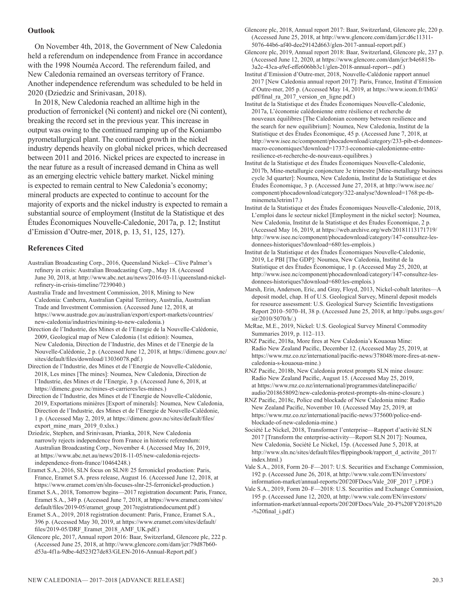#### **Outlook**

On November 4th, 2018, the Government of New Caledonia held a referendum on independence from France in accordance with the 1998 Nouméa Accord. The referendum failed, and New Caledonia remained an overseas territory of France. Another independence referendum was scheduled to be held in 2020 (Dziedzic and Srinivasan, 2018).

In 2018, New Caledonia reached an alltime high in the production of ferronickel (Ni content) and nickel ore (Ni content), breaking the record set in the previous year. This increase in output was owing to the continued ramping up of the Koniambo pyrometallurgical plant. The continued growth in the nickel industry depends heavily on global nickel prices, which decreased between 2011 and 2016. Nickel prices are expected to increase in the near future as a result of increased demand in China as well as an emerging electric vehicle battery market. Nickel mining is expected to remain central to New Caledonia's economy; mineral products are expected to continue to account for the majority of exports and the nickel industry is expected to remain a substantial source of employment (Institut de la Statistique et des Études Économiques Nouvelle-Caledonie, 2017a, p. 12; Institut d'Emission d'Outre-mer, 2018, p. 13, 51, 125, 127).

#### **References Cited**

Australian Broadcasting Corp., 2016, Queensland Nickel—Clive Palmer's refinery in crisis: Australian Broadcasting Corp., May 18. (Accessed June 30, 2018, at http://www.abc.net.au/news/2016-03-11/queensland-nickelrefinery-in-crisis-timeline/7239040.)

Australia Trade and Investment Commission, 2018, Mining to New Caledonia: Canberra, Australian Capital Territory, Australia, Australian Trade and Investment Commission. (Accessed June 12, 2018, at https://www.austrade.gov.au/australian/export/export-markets/countries/ new-caledonia/industries/mining-to-new-caledonia.)

Direction de l'Industrie, des Mines et de l'Energie de la Nouvelle-Calédonie, 2009, Geological map of New Caledonia (1st edition): Noumea, New Caledonia, Direction de l'Industrie, des Mines et de l'Energie de la Nouvelle-Calédonie, 2 p. (Accessed June 12, 2018, at https://dimenc.gouv.nc/ sites/default/files/download/13036078.pdf.)

Direction de l'Industrie, des Mines et de l'Energie de Nouvelle-Calédonie, 2018, Les mines [The mines]: Noumea, New Caledonia, Direction de l'Industrie, des Mines et de l'Energie, 3 p. (Accessed June 6, 2018, at https://dimenc.gouv.nc/mines-et-carrieres/les-mines.)

Direction de l'Industrie, des Mines et de l'Energie de Nouvelle-Calédonie, 2019, Exportations minières [Export of minerals]: Noumea, New Caledonia, Direction de l'Industrie, des Mines et de l'Energie de Nouvelle-Calédonie, 1 p. (Accessed May 2, 2019, at https://dimenc.gouv.nc/sites/default/files/ export\_mine\_mars\_2019\_0.xlsx.)

Dziedzic, Stephen, and Srinivasan, Prianka, 2018, New Caledonia narrowly rejects independence from France in historic referendum: Australian Broadcasting Corp., November 4. (Accessed May 16, 2019, at https://www.abc.net.au/news/2018-11-05/new-caledonia-rejectsindependence-from-france/10464248.)

Eramet S.A., 2016, SLN focus on SLN® 25 ferronickel production: Paris, France, Eramet S.A. press release, August 16. (Accessed June 12, 2018, at https://www.eramet.com/en/sln-focuses-slnr-25-ferronickel-production.)

Eramet S.A., 2018, Tomorrow begins—2017 registration document: Paris, France, Eramet S.A., 349 p. (Accessed June 7, 2018, at https://www.eramet.com/sites/ default/files/2019-05/eramet\_group\_2017registrationdocument.pdf.)

Eramet S.A., 2019, 2018 registration document: Paris, France, Eramet S.A., 396 p. (Accessed May 30, 2019, at https://www.eramet.com/sites/default/ files/2019-05/DRF\_Eramet\_2018\_AMF\_UK.pdf.)

Glencore plc, 2017, Annual report 2016: Baar, Switzerland, Glencore plc, 222 p. (Accessed June 25, 2018, at http://www.glencore.com/dam/jcr:79d87b60 d53a-4f1a-9dbe-4d523f27de83/GLEN-2016-Annual-Report.pdf.)

Glencore plc, 2018, Annual report 2017: Baar, Switzerland, Glencore plc, 220 p. (Accessed June 25, 2018, at http://www.glencore.com/dam/jcr:d6c11311- 5076-44b6-af40-dee29142d663/glen-2017-annual-report.pdf.)

Glencore plc, 2019, Annual report 2018: Baar, Switzerland, Glencore plc, 237 p. (Accessed June 12, 2020, at https://www.glencore.com/dam/jcr:b4e6815b-3a2c-43ca-a9ef-effe606bb3c1/glen-2018-annual-report--.pdf.)

Institut d'Emission d'Outre-mer, 2018, Nouvelle-Calédonie rapport annuel 2017 [New Caledonia annual report 2017]: Paris, France, Institut d'Emission d'Outre-mer, 205 p. (Accessed May 14, 2019, at https://www.ieom.fr/IMG/ pdf/final\_ra\_2017\_version\_en\_ligne.pdf.)

Institut de la Statistique et des Études Économiques Nouvelle-Caledonie, 2017a, L'économie calédonienne entre résilience et recherche de nouveaux équilibres [The Caledonian economy between resilience and the search for new equilibrium]: Noumea, New Caledonia, Institut de la Statistique et des Études Économique, 45 p. (Accessed June 7, 2018, at http://www.isee.nc/component/phocadownload/category/233-pib-et-donneesmacro-economiques?download=1737:l-economie-caledonienne-entreresilience-et-recherche-de-nouveaux-equilibres.)

Institut de la Statistique et des Études Économiques Nouvelle-Caledonie, 2017b, Mine-metallurgie conjoncture 3e trimestre [Mine-metallurgy business cycle 3d quarter]: Noumea, New Caledonia, Institut de la Statistique et des Études Économique, 3 p. (Accessed June 27, 2018, at http://www.isee.nc/ component/phocadownload/category/322-analyse?download=1768:pe-tbminemeta3etrim17.)

Institut de la Statistique et des Études Économiques Nouvelle-Caledonie, 2018, L'emploi dans le secteur nickel [Employment in the nickel sector]: Noumea, New Caledonia, Institut de la Statistique et des Études Économique, 2 p. (Accessed May 16, 2019, at https://web.archive.org/web/20181113171719/ http://www.isee.nc/component/phocadownload/category/147-consultez-lesdonnees-historiques?download=680:les-emplois.)

Institut de la Statistique et des Études Économiques Nouvelle-Caledonie, 2019, Le PBI [The GDP]: Noumea, New Caledonia, Institut de la Statistique et des Études Économique, 1 p. (Accessed May 25, 2020, at http://www.isee.nc/component/phocadownload/category/147-consultez-lesdonnees-historiques?download=680:les-emplois.)

Marsh, Erin, Anderson, Eric, and Gray, Floyd, 2013, Nickel-cobalt laterites—A deposit model, chap. H of U.S. Geological Survey, Mineral deposit models for resource assessment: U.S. Geological Survey Scientific Investigations Report 2010–5070–H, 38 p. (Accessed June 25, 2018, at http://pubs.usgs.gov/ sir/2010/5070/h/.)

McRae, M.E., 2019, Nickel: U.S. Geological Survey Mineral Commodity Summaries 2019, p. 112–113.

RNZ Pacific, 2018a, More fires at New Caledonia's Kouaoua Mine: Radio New Zealand Pacific, December 12. (Accessed May 25, 2019, at https://www.rnz.co.nz/international/pacific-news/378048/more-fires-at-newcaledonia-s-kouaoua-mine.)

RNZ Pacific, 2018b, New Caledonia protest prompts SLN mine closure: Radio New Zealand Pacific, August 15. (Accessed May 25, 2019, at https://www.rnz.co.nz/international/programmes/datelinepacific/ audio/2018658092/new-caledonia-protest-prompts-sln-mine-closure.)

RNZ Pacific, 2018c, Police end blockade of New Caledonia mine: Radio New Zealand Pacific, November 10. (Accessed May 25, 2019, at https://www.rnz.co.nz/international/pacific-news/375600/police-endblockade-of-new-caledonia-mine.)

Société Le Nickel, 2018, Transformer l'enterprise—Rapport d'activité SLN 2017 [Transform the enterprise-activity—Report SLN 2017]: Noumea, New Caledonia, Société Le Nickel, 15p. (Accessed June 5, 2018, at http://www.sln.nc/sites/default/files/flippingbook/rapport\_d\_activite\_2017/ index.html.)

Vale S.A., 2018, Form 20–F—2017: U.S. Securities and Exchange Commission, 192 p. (Accessed June 26, 2018, at http://www.vale.com/EN/investors/ information-market/annual-reports/20f/20FDocs/Vale\_20F\_2017\_i.PDF.)

Vale S.A., 2019, Form 20–F—2018: U.S. Securities and Exchange Commission, 195 p. (Accessed June 12, 2020, at http://www.vale.com/EN/investors/ information-market/annual-reports/20f/20FDocs/Vale\_20-F%20FY2018%20  $-$ %20final i.pdf.)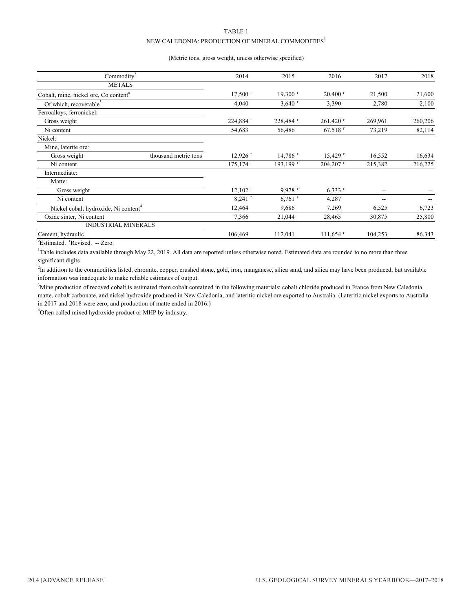#### TABLE 1 NEW CALEDONIA: PRODUCTION OF MINERAL COMMODITIES<sup>1</sup>

#### (Metric tons, gross weight, unless otherwise specified)

| Commodity <sup>2</sup>                            | 2014                    | 2015                  | 2016                   | 2017    | 2018    |
|---------------------------------------------------|-------------------------|-----------------------|------------------------|---------|---------|
| <b>METALS</b>                                     |                         |                       |                        |         |         |
| Cobalt, mine, nickel ore, Co content <sup>e</sup> | $17,500$ <sup>r</sup>   | $19,300$ <sup>r</sup> | $20,400$ <sup>r</sup>  | 21,500  | 21,600  |
| Of which, recoverable <sup>3</sup>                | 4,040                   | $3,640$ <sup>r</sup>  | 3,390                  | 2,780   | 2,100   |
| Ferroalloys, ferronickel:                         |                         |                       |                        |         |         |
| Gross weight                                      | 224,884                 | 228,484 <sup>r</sup>  | $261,420$ <sup>r</sup> | 269,961 | 260,206 |
| Ni content                                        | 54,683                  | 56,486                | $67,518$ <sup>r</sup>  | 73,219  | 82,114  |
| Nickel:                                           |                         |                       |                        |         |         |
| Mine, laterite ore:                               |                         |                       |                        |         |         |
| Gross weight<br>thousand metric tons              | $12,926$ <sup>r</sup>   | $14,786$ <sup>r</sup> | $15,429$ <sup>r</sup>  | 16,552  | 16,634  |
| Ni content                                        | $175, 174$ <sup>r</sup> | 193,199 r             | $204,207$ <sup>r</sup> | 215,382 | 216,225 |
| Intermediate:                                     |                         |                       |                        |         |         |
| Matte:                                            |                         |                       |                        |         |         |
| Gross weight                                      | $12,102$ <sup>r</sup>   | $9,978$ <sup>r</sup>  | $6.333$ $r$            | --      |         |
| Ni content                                        | $8,241$ <sup>r</sup>    | $6,761$ <sup>r</sup>  | 4,287                  | --      |         |
| Nickel cobalt hydroxide, Ni content <sup>4</sup>  | 12,464                  | 9,686                 | 7,269                  | 6,525   | 6,723   |
| Oxide sinter, Ni content                          | 7,366                   | 21,044                | 28,465                 | 30,875  | 25,800  |
| <b>INDUSTRIAL MINERALS</b>                        |                         |                       |                        |         |         |
| Cement, hydraulic                                 | 106,469                 | 112,041               | $111,654$ <sup>r</sup> | 104,253 | 86,343  |

<sup>e</sup>Estimated. <sup>r</sup>Revised. -- Zero.

<sup>1</sup>Table includes data available through May 22, 2019. All data are reported unless otherwise noted. Estimated data are rounded to no more than three significant digits.

<sup>2</sup>In addition to the commodities listed, chromite, copper, crushed stone, gold, iron, manganese, silica sand, and silica may have been produced, but available information was inadequate to make reliable estimates of output.

<sup>3</sup>Mine production of recoved cobalt is estimated from cobalt contained in the following materials: cobalt chloride produced in France from New Caledonia matte, cobalt carbonate, and nickel hydroxide produced in New Caledonia, and lateritic nickel ore exported to Australia. (Lateritic nickel exports to Australia in 2017 and 2018 were zero, and production of matte ended in 2016.)

4 Often called mixed hydroxide product or MHP by industry.